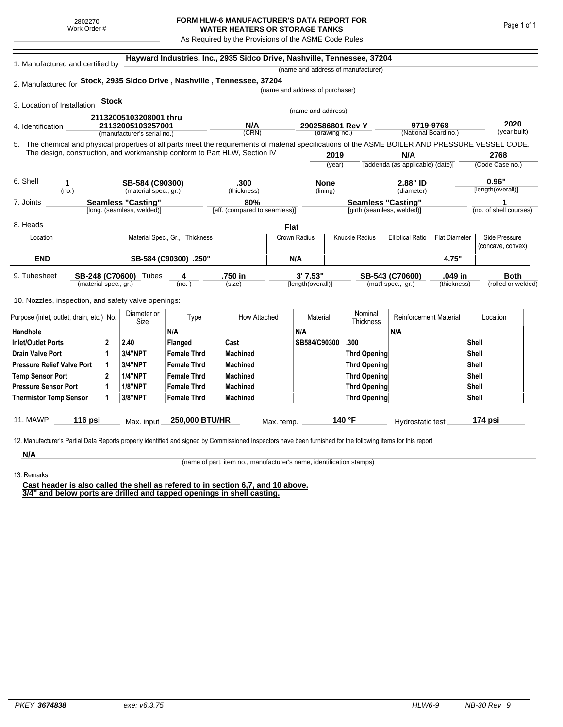## **FORM HLW-6 MANUFACTURER'S DATA REPORT FOR WATER HEATERS OR STORAGE TANKS**

As Required by the Provisions of the ASME Code Rules

| 1. Manufactured and certified by                                                                                                                              |                       |                                |                             |                    | Hayward Industries, Inc., 2935 Sidco Drive, Nashville, Tennessee, 37204 |                                 |                   |                                    |                                  |                      |                                       |                    |  |
|---------------------------------------------------------------------------------------------------------------------------------------------------------------|-----------------------|--------------------------------|-----------------------------|--------------------|-------------------------------------------------------------------------|---------------------------------|-------------------|------------------------------------|----------------------------------|----------------------|---------------------------------------|--------------------|--|
|                                                                                                                                                               |                       |                                |                             |                    |                                                                         |                                 |                   | (name and address of manufacturer) |                                  |                      |                                       |                    |  |
| 2. Manufactured for Stock, 2935 Sidco Drive, Nashville, Tennessee, 37204                                                                                      |                       |                                |                             |                    |                                                                         |                                 |                   |                                    |                                  |                      |                                       |                    |  |
|                                                                                                                                                               |                       |                                |                             |                    |                                                                         | (name and address of purchaser) |                   |                                    |                                  |                      |                                       |                    |  |
| 3. Location of Installation                                                                                                                                   |                       | <b>Stock</b>                   |                             |                    |                                                                         |                                 |                   |                                    |                                  |                      |                                       |                    |  |
|                                                                                                                                                               |                       | 21132005103208001 thru         |                             |                    | (name and address)                                                      |                                 |                   |                                    |                                  |                      |                                       |                    |  |
| 4. Identification                                                                                                                                             |                       |                                | 21132005103257001           |                    | N/A                                                                     |                                 | 2902586801 Rev Y  |                                    | 9719-9768                        |                      |                                       | 2020               |  |
|                                                                                                                                                               |                       |                                | (manufacturer's serial no.) |                    | (CRN)                                                                   |                                 | (drawing no.)     |                                    |                                  | (National Board no.) |                                       | (year built)       |  |
| 5. The chemical and physical properties of all parts meet the requirements of material specifications of the ASME BOILER AND PRESSURE VESSEL CODE.            |                       |                                |                             |                    |                                                                         |                                 |                   |                                    |                                  |                      |                                       |                    |  |
| The design, construction, and workmanship conform to Part HLW, Section IV                                                                                     |                       |                                |                             |                    |                                                                         |                                 | 2019              |                                    | N/A                              |                      |                                       | 2768               |  |
|                                                                                                                                                               |                       |                                |                             |                    |                                                                         |                                 | (year)            |                                    | [addenda (as applicable) (date)] |                      | (Code Case no.)                       |                    |  |
| 6. Shell<br>1.                                                                                                                                                |                       |                                | SB-584 (C90300)             |                    | .300                                                                    |                                 | <b>None</b>       | 2.88" ID                           |                                  |                      |                                       | 0.96"              |  |
| (no.)                                                                                                                                                         | (material spec., gr.) |                                | (thickness)                 |                    | (lining)                                                                |                                 | (diameter)        |                                    | [length(overall)]                |                      |                                       |                    |  |
| 7. Joints                                                                                                                                                     | Seamless "Casting"    |                                |                             |                    | 80%                                                                     |                                 |                   | <b>Seamless "Casting"</b>          |                                  | 1                    |                                       |                    |  |
|                                                                                                                                                               |                       |                                | [long. (seamless, welded)]  |                    | [eff. (compared to seamless)]                                           |                                 |                   |                                    | [girth (seamless, welded)]       |                      | (no. of shell courses)                |                    |  |
| 8. Heads                                                                                                                                                      |                       |                                |                             |                    |                                                                         | <b>Flat</b>                     |                   |                                    |                                  |                      |                                       |                    |  |
| Location                                                                                                                                                      |                       | Material Spec., Gr., Thickness |                             |                    |                                                                         | Crown Radius                    |                   | <b>Knuckle Radius</b>              | <b>Elliptical Ratio</b>          |                      | <b>Flat Diameter</b><br>Side Pressure |                    |  |
|                                                                                                                                                               |                       |                                |                             |                    |                                                                         |                                 |                   |                                    |                                  |                      | (concave, convex)                     |                    |  |
| <b>END</b>                                                                                                                                                    | SB-584 (C90300) .250" |                                |                             |                    | N/A                                                                     |                                 |                   |                                    |                                  | 4.75"                |                                       |                    |  |
| 9. Tubesheet                                                                                                                                                  |                       |                                | SB-248 (C70600) Tubes       | 4                  | .750 in                                                                 |                                 | 3'7.53"           |                                    | SB-543 (C70600)                  | .049 in              |                                       | <b>Both</b>        |  |
|                                                                                                                                                               | (material spec., gr.) |                                |                             | (no.)              | (size)                                                                  |                                 | [length(overall)] |                                    | (mat'l spec., gr.)               | (thickness)          |                                       | (rolled or welded) |  |
| 10. Nozzles, inspection, and safety valve openings:                                                                                                           |                       |                                |                             |                    |                                                                         |                                 |                   |                                    |                                  |                      |                                       |                    |  |
|                                                                                                                                                               |                       |                                |                             |                    |                                                                         |                                 |                   |                                    |                                  |                      |                                       |                    |  |
| Purpose (inlet, outlet, drain, etc.) No.                                                                                                                      |                       | Diameter or<br>Size            |                             | Type               |                                                                         | Material<br>How Attached        |                   | Nominal<br>Thickness               | <b>Reinforcement Material</b>    |                      | Location                              |                    |  |
| Handhole                                                                                                                                                      |                       |                                |                             | N/A                |                                                                         | N/A                             |                   |                                    | N/A                              |                      |                                       |                    |  |
| <b>Inlet/Outlet Ports</b>                                                                                                                                     |                       | $\mathbf 2$                    | 2.40                        | Flanged            | Cast                                                                    |                                 | SB584/C90300      | .300                               |                                  |                      | Shell                                 |                    |  |
| <b>Drain Valve Port</b>                                                                                                                                       |                       | 1                              | 3/4"NPT                     | <b>Female Thrd</b> | <b>Machined</b>                                                         |                                 |                   | <b>Thrd Opening</b>                |                                  |                      | Shell                                 |                    |  |
| <b>Pressure Relief Valve Port</b>                                                                                                                             |                       | 1                              | 3/4"NPT                     | <b>Female Thrd</b> | <b>Machined</b>                                                         |                                 |                   | <b>Thrd Opening</b>                |                                  |                      | Shell                                 |                    |  |
| <b>Temp Sensor Port</b>                                                                                                                                       |                       | $\mathbf{2}$                   | <b>1/4"NPT</b>              | <b>Female Thrd</b> | <b>Machined</b>                                                         |                                 |                   | <b>Thrd Opening</b>                |                                  | Shell                |                                       |                    |  |
| <b>Pressure Sensor Port</b>                                                                                                                                   |                       | 1                              | <b>1/8"NPT</b>              | <b>Female Thrd</b> | <b>Machined</b>                                                         |                                 |                   | <b>Thrd Opening</b>                |                                  |                      | Shell                                 |                    |  |
| <b>Thermistor Temp Sensor</b>                                                                                                                                 |                       | 1                              | 3/8"NPT                     | <b>Female Thrd</b> | <b>Machined</b>                                                         |                                 |                   | <b>Thrd Opening</b>                |                                  |                      | Shell                                 |                    |  |
|                                                                                                                                                               |                       |                                |                             |                    |                                                                         |                                 |                   |                                    |                                  |                      |                                       |                    |  |
| <b>11. MAWP</b>                                                                                                                                               | 116 psi               |                                | Max. input                  | 250,000 BTU/HR     |                                                                         | Max. temp.                      |                   | 140 °F                             | Hydrostatic test                 |                      |                                       | 174 psi            |  |
|                                                                                                                                                               |                       |                                |                             |                    |                                                                         |                                 |                   |                                    |                                  |                      |                                       |                    |  |
| 12. Manufacturer's Partial Data Reports properly identified and signed by Commissioned Inspectors have been furnished for the following items for this report |                       |                                |                             |                    |                                                                         |                                 |                   |                                    |                                  |                      |                                       |                    |  |
| N/A                                                                                                                                                           |                       |                                |                             |                    |                                                                         |                                 |                   |                                    |                                  |                      |                                       |                    |  |

13. Remarks

(name of part, item no., manufacturer's name, identification stamps)

**Cast header is also called the shell as refered to in section 6,7, and 10 above. 3/4" and below ports are drilled and tapped openings in shell casting.**